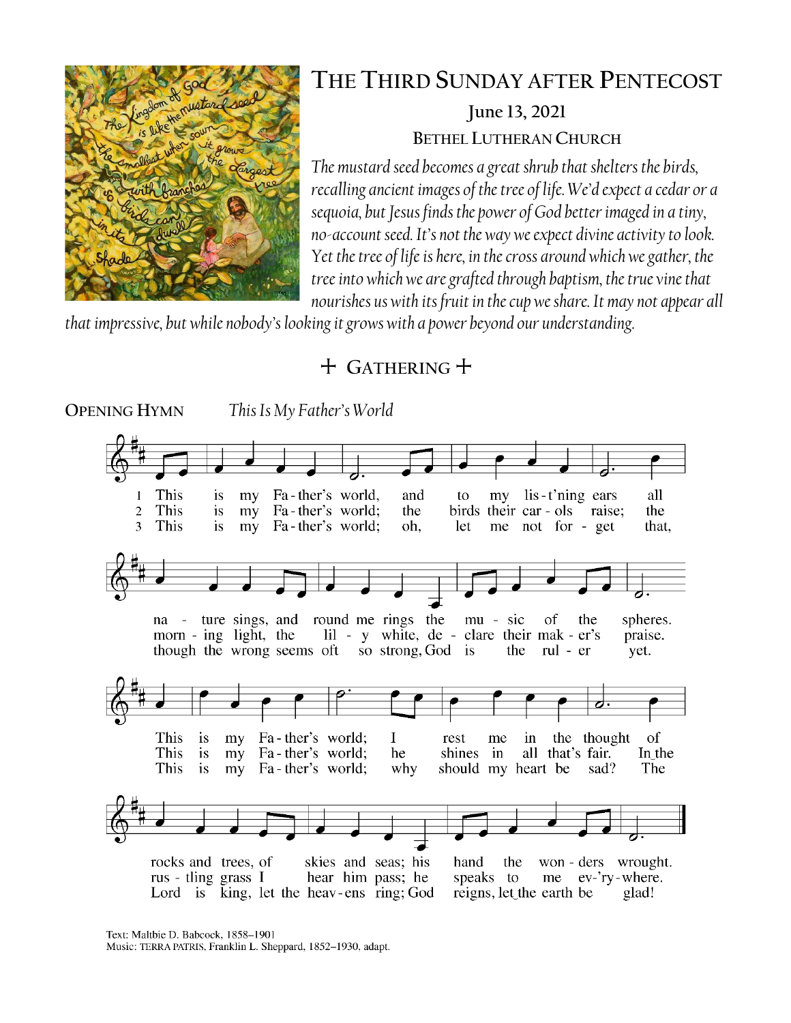

# **THE THIRD SUNDAY AFTER PENTECOST**

# **June 13, 2021 BETHEL LUTHERAN CHURCH**

*The mustard seed becomes a great shrub that shelters the birds, recalling ancient images of the tree of life. We'd expect a cedar or a sequoia, but Jesus finds the power of God better imaged in a tiny, no-account seed. It's not the way we expect divine activity to look. Yet the tree of life is here, in the cross around which we gather, the tree into which we are grafted through baptism, the true vine that nourishes us with its fruit in the cup we share. It may not appear all* 

*that impressive, but while nobody's looking it grows with a power beyond our understanding.*

# + **GATHERING** +

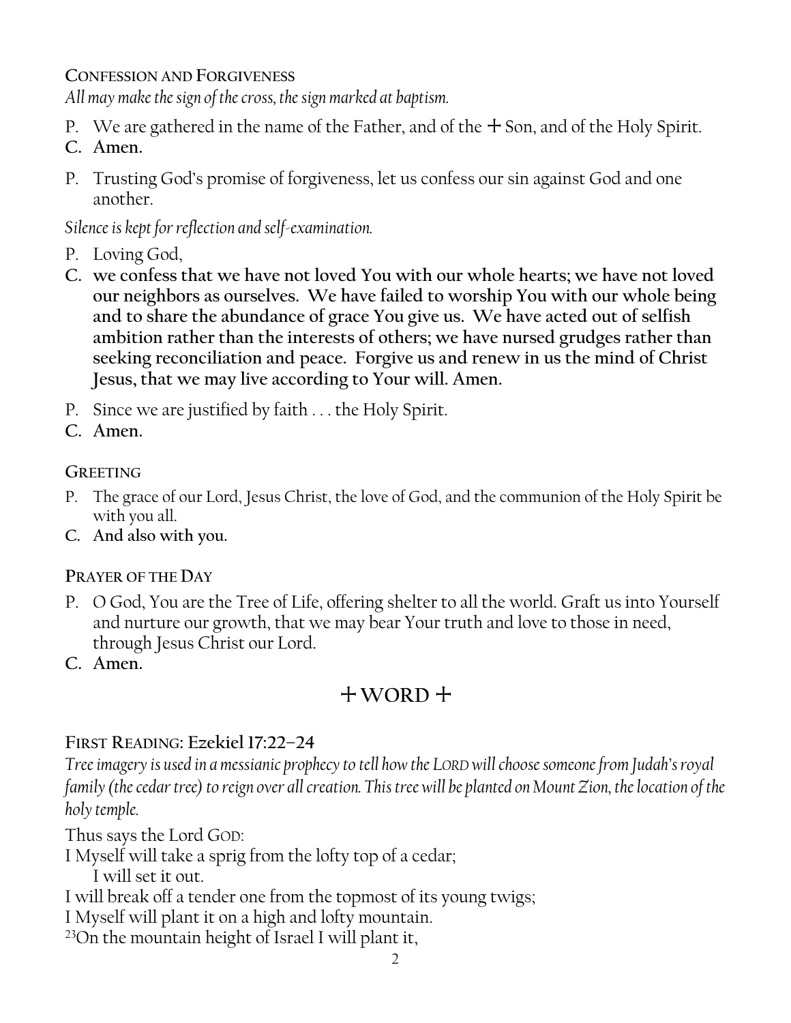**CONFESSION AND FORGIVENESS**

*All may make the sign of the cross, the sign marked at baptism.*

- P. We are gathered in the name of the Father, and of the  $+$  Son, and of the Holy Spirit.
- **C. Amen.**
- P. Trusting God's promise of forgiveness, let us confess our sin against God and one another.

*Silence is kept for reflection and self-examination.*

- P. Loving God,
- **C. we confess that we have not loved You with our whole hearts; we have not loved our neighbors as ourselves. We have failed to worship You with our whole being and to share the abundance of grace You give us. We have acted out of selfish ambition rather than the interests of others; we have nursed grudges rather than seeking reconciliation and peace. Forgive us and renew in us the mind of Christ Jesus, that we may live according to Your will. Amen.**
- P. Since we are justified by faith . . . the Holy Spirit.
- **C. Amen.**

### **GREETING**

- P. The grace of our Lord, Jesus Christ, the love of God, and the communion of the Holy Spirit be with you all.
- **C. And also with you.**

## **PRAYER OF THE DAY**

- P. O God, You are the Tree of Life, offering shelter to all the world. Graft us into Yourself and nurture our growth, that we may bear Your truth and love to those in need, through Jesus Christ our Lord.
- **C. Amen.**

# + **WORD** +

## **FIRST READING: Ezekiel 17:22–24**

*Tree imagery is used in a messianic prophecy to tell how the LORD will choose someone from Judah's royal family (the cedar tree) to reign over all creation. This tree will be planted on Mount Zion, the location of the holy temple.*

Thus says the Lord GOD:

I Myself will take a sprig from the lofty top of a cedar;

- I will set it out.
- I will break off a tender one from the topmost of its young twigs;

I Myself will plant it on a high and lofty mountain.

23On the mountain height of Israel I will plant it,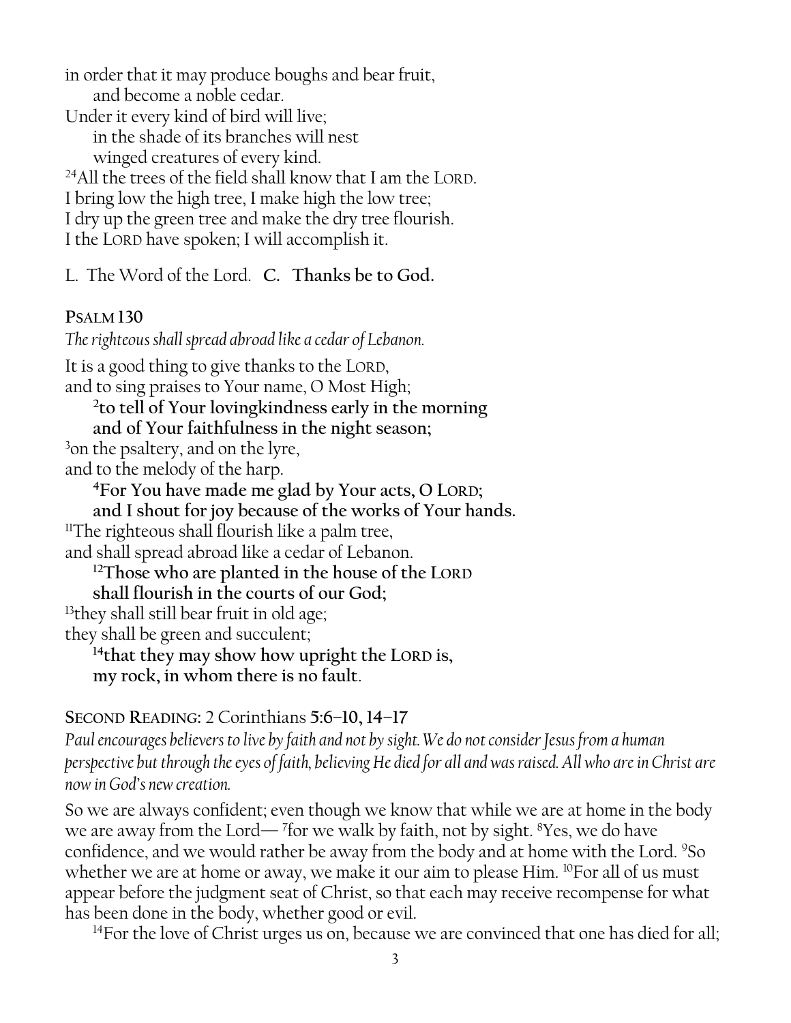in order that it may produce boughs and bear fruit, and become a noble cedar.

Under it every kind of bird will live; in the shade of its branches will nest winged creatures of every kind. <sup>24</sup>All the trees of the field shall know that I am the LORD. I bring low the high tree, I make high the low tree; I dry up the green tree and make the dry tree flourish. I the LORD have spoken; I will accomplish it.

L. The Word of the Lord. **C. Thanks be to God.**

#### **PSALM 130**

*The righteous shall spread abroad like a cedar of Lebanon.* It is a good thing to give thanks to the LORD, and to sing praises to Your name, O Most High; **2 to tell of Your lovingkindness early in the morning and of Your faithfulness in the night season;** <sup>3</sup>on the psaltery, and on the lyre, and to the melody of the harp. **<sup>4</sup>For You have made me glad by Your acts, O LORD; and I shout for joy because of the works of Your hands.**  <sup>11</sup>The righteous shall flourish like a palm tree, and shall spread abroad like a cedar of Lebanon. **<sup>12</sup>Those who are planted in the house of the LORD shall flourish in the courts of our God;**  $13$ they shall still bear fruit in old age; they shall be green and succulent; **<sup>14</sup>that they may show how upright the LORD is, my rock, in whom there is no fault**.

### **SECOND READING:** 2 Corinthians **5:6–10, 14–17**

*Paul encourages believers to live by faith and not by sight. We do not consider Jesus from a human perspective but through the eyes of faith, believing He died for all and was raised. All who are in Christ are now in God's new creation.*

So we are always confident; even though we know that while we are at home in the body we are away from the Lord—<sup>7</sup> for we walk by faith, not by sight.  $8$  Yes, we do have confidence, and we would rather be away from the body and at home with the Lord. <sup>9</sup>So whether we are at home or away, we make it our aim to please Him. <sup>10</sup>For all of us must appear before the judgment seat of Christ, so that each may receive recompense for what has been done in the body, whether good or evil.

<sup>14</sup>For the love of Christ urges us on, because we are convinced that one has died for all;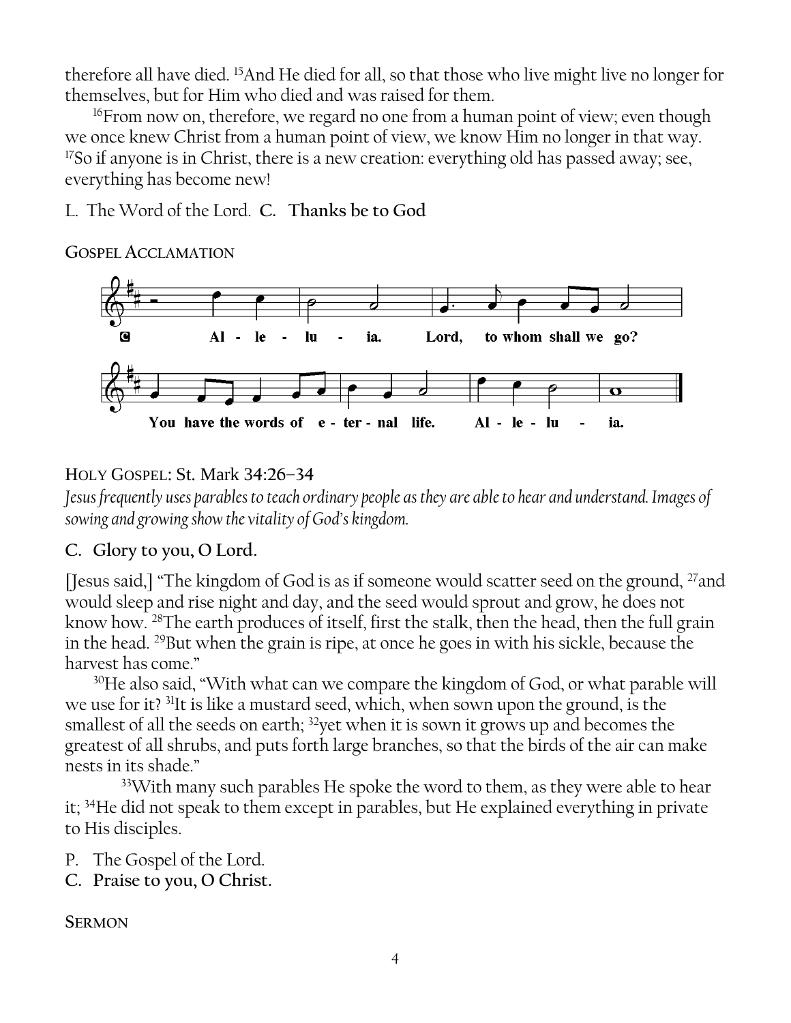therefore all have died. <sup>15</sup>And He died for all, so that those who live might live no longer for themselves, but for Him who died and was raised for them.

<sup>16</sup>From now on, therefore, we regard no one from a human point of view; even though we once knew Christ from a human point of view, we know Him no longer in that way. <sup>17</sup>So if anyone is in Christ, there is a new creation: everything old has passed away; see, everything has become new!

L. The Word of the Lord. **C. Thanks be to God**

### **GOSPEL ACCLAMATION**



## HOLY GOSPEL: St. Mark 3**4:26–34**

*Jesus frequently uses parables to teach ordinary people as they are able to hear and understand. Images of sowing and growing show the vitality of God's kingdom.*

## **C. Glory to you, O Lord.**

[Jesus said,] "The kingdom of God is as if someone would scatter seed on the ground, <sup>27</sup>and would sleep and rise night and day, and the seed would sprout and grow, he does not know how. <sup>28</sup>The earth produces of itself, first the stalk, then the head, then the full grain in the head. <sup>29</sup>But when the grain is ripe, at once he goes in with his sickle, because the harvest has come."

<sup>30</sup>He also said, "With what can we compare the kingdom of God, or what parable will we use for it? <sup>31</sup>It is like a mustard seed, which, when sown upon the ground, is the smallest of all the seeds on earth; <sup>32</sup>yet when it is sown it grows up and becomes the greatest of all shrubs, and puts forth large branches, so that the birds of the air can make nests in its shade."

<sup>33</sup>With many such parables He spoke the word to them, as they were able to hear it; <sup>34</sup>He did not speak to them except in parables, but He explained everything in private to His disciples.

P. The Gospel of the Lord.

**C. Praise to you, O Christ.**

### **SERMON**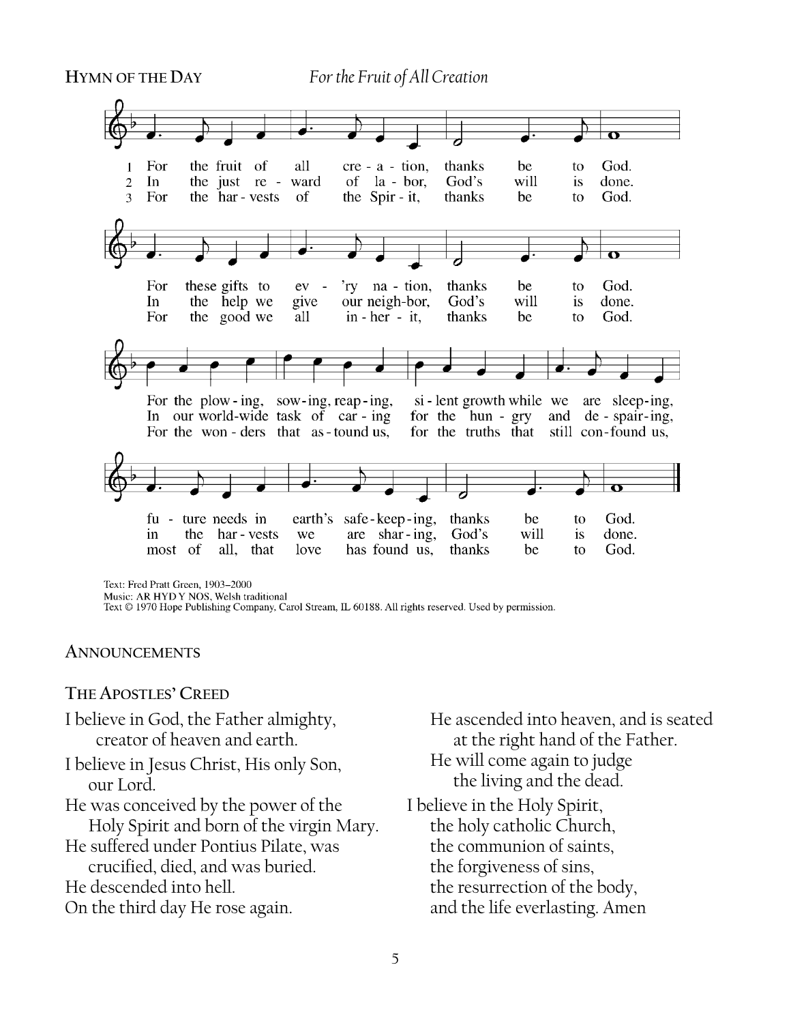**HYMN OF THE DAY** *For the Fruit of All Creation*



Text: Fred Pratt Green, 1903-2000 Music: AR HYD Y NOS, Welsh traditional

Text © 1970 Hope Publishing Company, Carol Stream, IL 60188. All rights reserved. Used by permission.

**ANNOUNCEMENTS**

#### **THE APOSTLES' CREED**

- I believe in God, the Father almighty, creator of heaven and earth.
- I believe in Jesus Christ, His only Son, our Lord.
- He was conceived by the power of the Holy Spirit and born of the virgin Mary.
- He suffered under Pontius Pilate, was
- crucified, died, and was buried.
- He descended into hell.
- On the third day He rose again.

He ascended into heaven, and is seated at the right hand of the Father. He will come again to judge the living and the dead. I believe in the Holy Spirit, the holy catholic Church,

the communion of saints, the forgiveness of sins, the resurrection of the body, and the life everlasting. Amen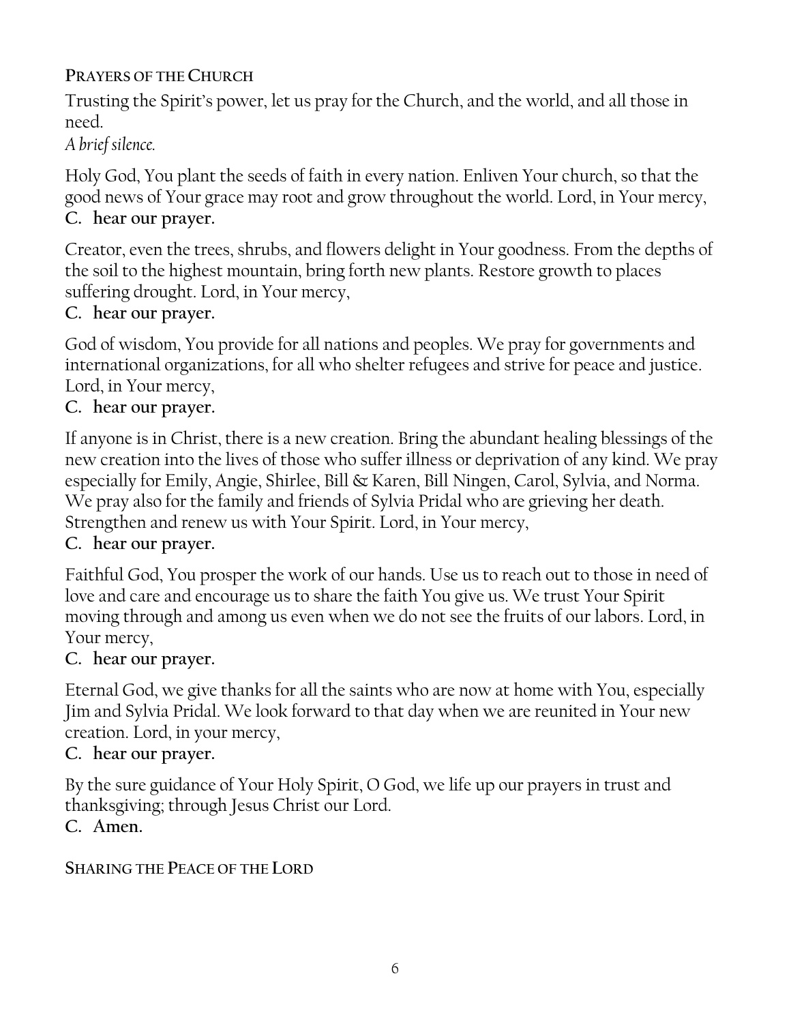## **PRAYERS OF THE CHURCH**

Trusting the Spirit's power, let us pray for the Church, and the world, and all those in need.

## *A brief silence.*

Holy God, You plant the seeds of faith in every nation. Enliven Your church, so that the good news of Your grace may root and grow throughout the world. Lord, in Your mercy, **C. hear our prayer.**

Creator, even the trees, shrubs, and flowers delight in Your goodness. From the depths of the soil to the highest mountain, bring forth new plants. Restore growth to places suffering drought. Lord, in Your mercy,

## **C. hear our prayer.**

God of wisdom, You provide for all nations and peoples. We pray for governments and international organizations, for all who shelter refugees and strive for peace and justice. Lord, in Your mercy,

## **C. hear our prayer.**

If anyone is in Christ, there is a new creation. Bring the abundant healing blessings of the new creation into the lives of those who suffer illness or deprivation of any kind. We pray especially for Emily, Angie, Shirlee, Bill & Karen, Bill Ningen, Carol, Sylvia, and Norma. We pray also for the family and friends of Sylvia Pridal who are grieving her death. Strengthen and renew us with Your Spirit. Lord, in Your mercy,

### **C. hear our prayer.**

Faithful God, You prosper the work of our hands. Use us to reach out to those in need of love and care and encourage us to share the faith You give us. We trust Your Spirit moving through and among us even when we do not see the fruits of our labors. Lord, in Your mercy,

### **C. hear our prayer.**

Eternal God, we give thanks for all the saints who are now at home with You, especially Jim and Sylvia Pridal. We look forward to that day when we are reunited in Your new creation. Lord, in your mercy,

### **C. hear our prayer.**

By the sure guidance of Your Holy Spirit, O God, we life up our prayers in trust and thanksgiving; through Jesus Christ our Lord.

**C. Amen.**

### **SHARING THE PEACE OF THE LORD**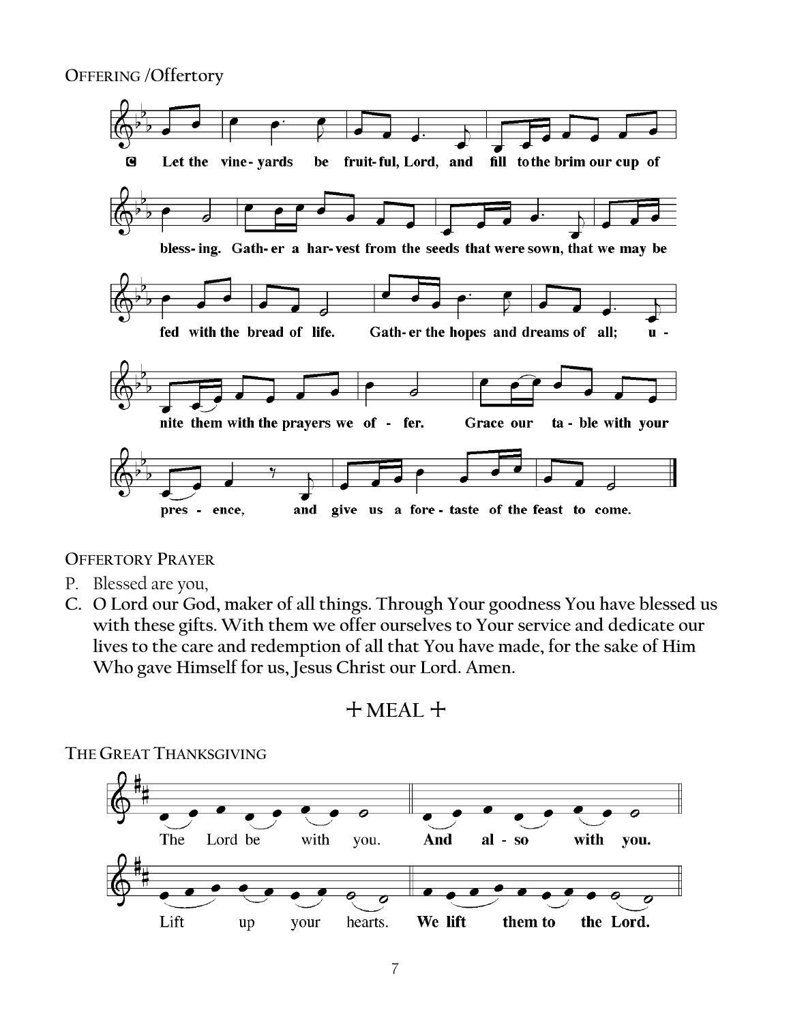**OFFERING /Offertory**



**OFFERTORY PRAYER**

- P. Blessed are you,
- **C. O Lord our God, maker of all things. Through Your goodness You have blessed us with these gifts. With them we offer ourselves to Your service and dedicate our lives to the care and redemption of all that You have made, for the sake of Him Who gave Himself for us, Jesus Christ our Lord. Amen.**





**THE GREAT THANKSGIVING**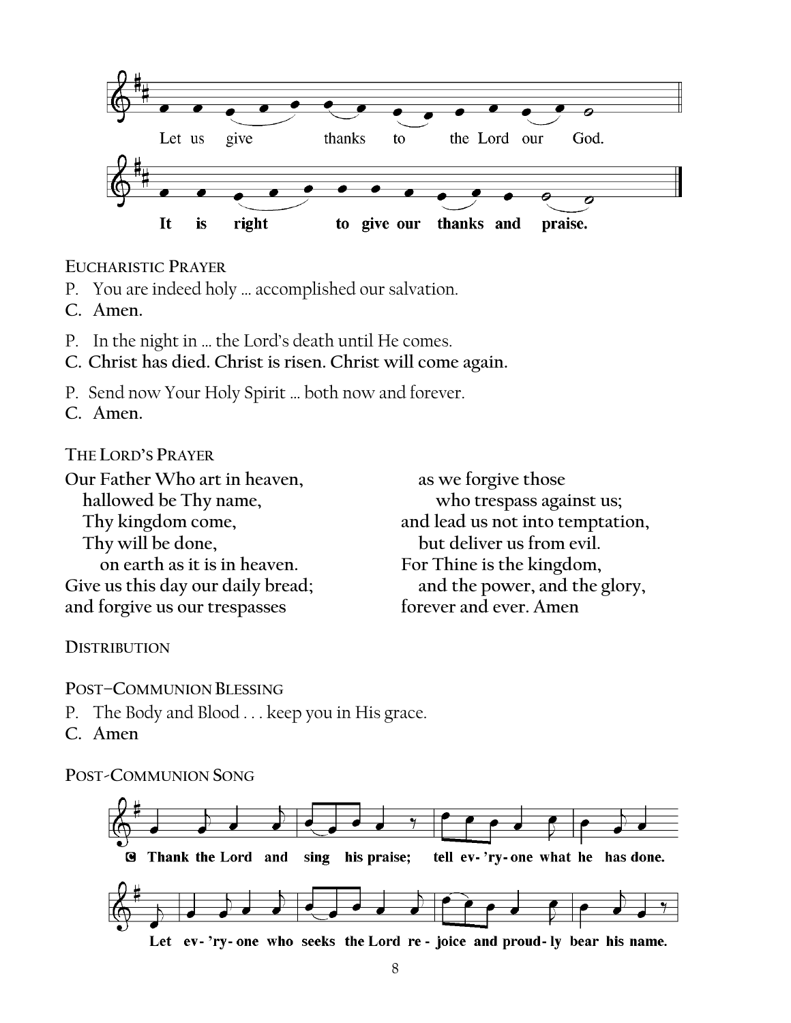

**EUCHARISTIC PRAYER**

- P. You are indeed holy … accomplished our salvation.
- **C. Amen.**
- P. In the night in … the Lord's death until He comes.
- **C. Christ has died. Christ is risen. Christ will come again.**
- P. Send now Your Holy Spirit … both now and forever.

**C. Amen.**

**THE LORD'S PRAYER**

**Our Father Who art in heaven, hallowed be Thy name, Thy kingdom come, Thy will be done, on earth as it is in heaven. Give us this day our daily bread; and forgive us our trespasses**

**as we forgive those who trespass against us; and lead us not into temptation, but deliver us from evil. For Thine is the kingdom, and the power, and the glory, forever and ever. Amen**

**DISTRIBUTION**

**POST–COMMUNION BLESSING** 

- P. The Body and Blood . . . keep you in His grace.
- **C. Amen**

**POST-COMMUNION SONG**

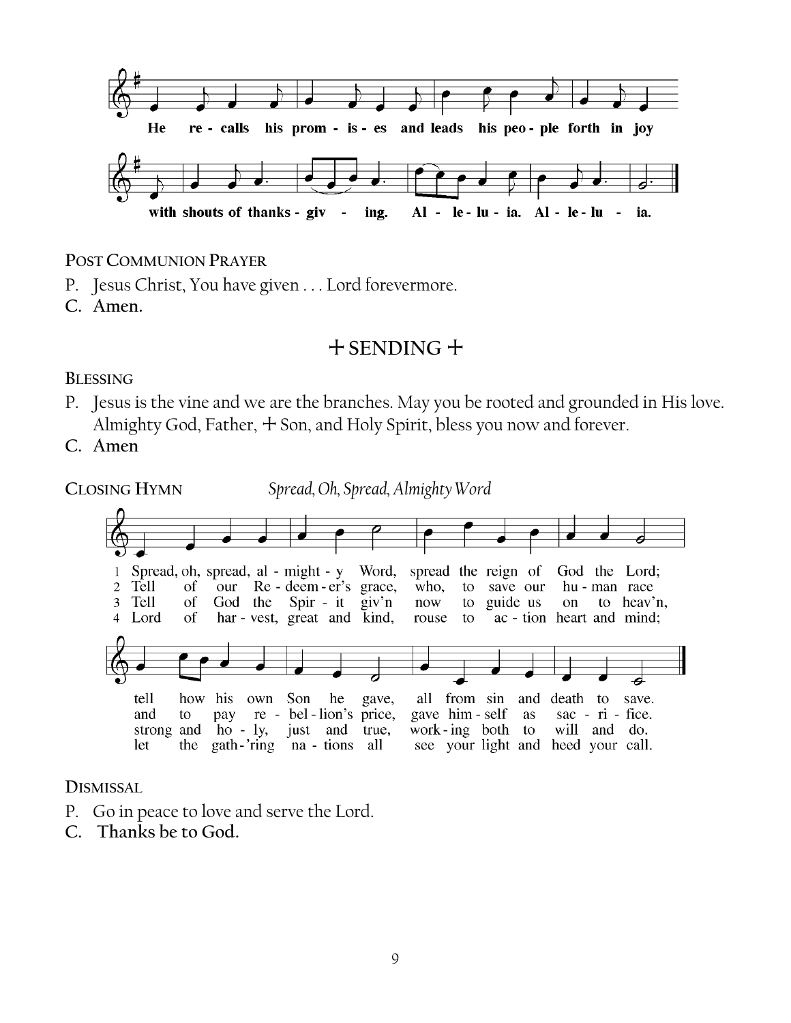

#### **POST COMMUNION PRAYER**

- P. Jesus Christ, You have given . . . Lord forevermore.
- **C. Amen.**

## + **SENDING** +

**BLESSING**

P. Jesus is the vine and we are the branches. May you be rooted and grounded in His love. Almighty God, Father,  $+$  Son, and Holy Spirit, bless you now and forever.

**C. Amen**



**DISMISSAL** 

- P. Go in peace to love and serve the Lord.
- **C. Thanks be to God.**